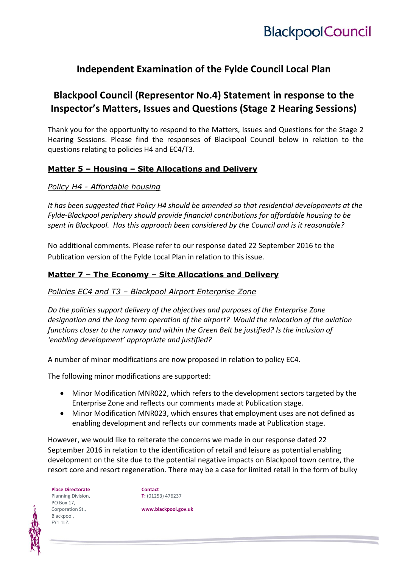## **Independent Examination of the Fylde Council Local Plan**

## **Blackpool Council (Representor No.4) Statement in response to the Inspector's Matters, Issues and Questions (Stage 2 Hearing Sessions)**

Thank you for the opportunity to respond to the Matters, Issues and Questions for the Stage 2 Hearing Sessions. Please find the responses of Blackpool Council below in relation to the questions relating to policies H4 and EC4/T3.

### **Matter 5 – Housing – Site Allocations and Delivery**

*Policy H4 - Affordable housing*

*It has been suggested that Policy H4 should be amended so that residential developments at the Fylde-Blackpool periphery should provide financial contributions for affordable housing to be spent in Blackpool. Has this approach been considered by the Council and is it reasonable?*

No additional comments. Please refer to our response dated 22 September 2016 to the Publication version of the Fylde Local Plan in relation to this issue.

### **Matter 7 – The Economy – Site Allocations and Delivery**

#### *Policies EC4 and T3 – Blackpool Airport Enterprise Zone*

*Do the policies support delivery of the objectives and purposes of the Enterprise Zone designation and the long term operation of the airport? Would the relocation of the aviation functions closer to the runway and within the Green Belt be justified? Is the inclusion of 'enabling development' appropriate and justified?*

A number of minor modifications are now proposed in relation to policy EC4.

The following minor modifications are supported:

- Minor Modification MNR022, which refers to the development sectors targeted by the Enterprise Zone and reflects our comments made at Publication stage.
- Minor Modification MNR023, which ensures that employment uses are not defined as enabling development and reflects our comments made at Publication stage.

However, we would like to reiterate the concerns we made in our response dated 22 September 2016 in relation to the identification of retail and leisure as potential enabling development on the site due to the potential negative impacts on Blackpool town centre, the resort core and resort regeneration. There may be a case for limited retail in the form of bulky

**Place Directorate** Planning Division, PO Box 17, Corporation St., Blackpool, FY1 1LZ.

**Contact T:** (01253) 476237

**www.blackpool.gov.uk**